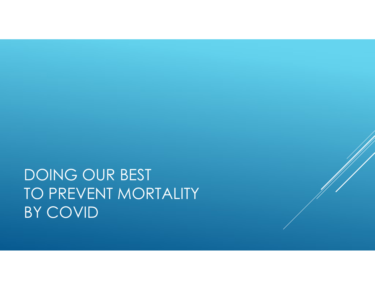DOING OUR BEST TO PREVENT MORTALITY BY COVID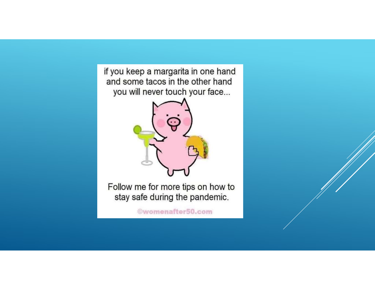if you keep a margarita in one hand and some tacos in the other hand you will never touch your face...



Follow me for more tips on how to stay safe during the pandemic.

©womenafter50.com

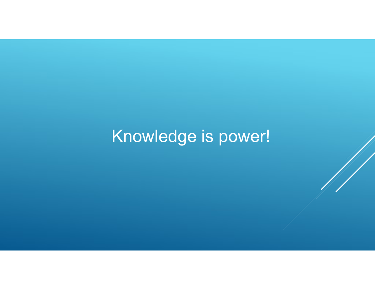## Knowledge is power!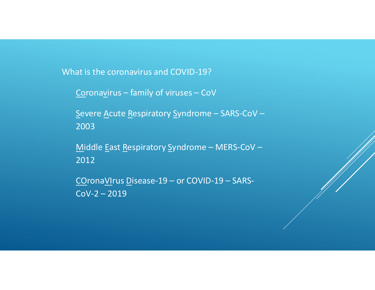What is the coronavirus and COVID-19?

at is the coronavirus and COVID-19?<br><u>Co</u>rona<u>v</u>irus – family of viruses – CoV<br>Severe <u>A</u>cute <u>R</u>espiratory Syndrome – SARS-CoV –<br>2003 at is the coronavirus and COVID-19?<br>Severe Acute Respiratory Syndrome – SARS-CoV –<br>Severe Acute Respiratory Syndrome – SARS-CoV –<br>Middle East Respiratory Syndrome – MERS-CoV – 2003 at is the coronavirus and COVID-19?<br>
<u>Co</u>rona<u>v</u>irus – family of viruses – CoV<br>
Severe Acute Respiratory Syndrome – SARS-CoV –<br>
Middle East Respiratory Syndrome – MERS-CoV –<br>
2012<br>
COronaVIrus Disease-19 – or COVID-19 – SA at is the coronavirus and COVID-19?<br>
Coronavirus – family of viruses – CoV<br>
Severe Acute Respiratory Syndrome – SARS-CoV –<br>
2003<br>
Middle East Respiratory Syndrome – MERS-CoV –<br>
2012<br>
COrona<u>VI</u>rus Disease-19 – or COVID-19 <u>Co</u>rona<u>v</u>irus – family of viruses – CoV<br><u>S</u>evere <u>A</u>cute <u>R</u>espiratory <u>S</u>yndrome – SARS-CoV –<br>2003<br><u>M</u>iddle East Respiratory Syndrome – MERS-CoV –<br>2012<br>COrona<u>VI</u>rus <u>D</u>isease-19 – or COVID-19 – SARS-<br>CoV-2 – 2019

2012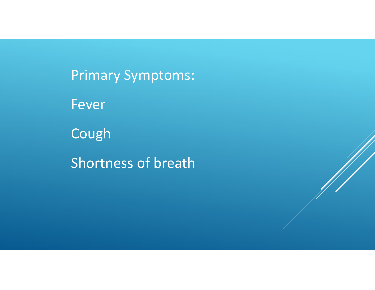Primary Symptoms:

Fever

Cough

Shortness of breath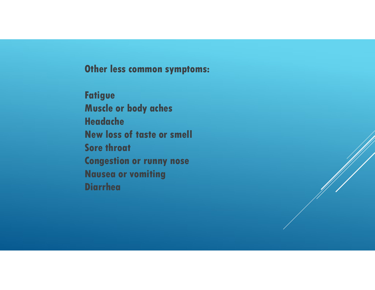Other less common symptoms:

Fatigue Muscle or body aches Headache New loss of taste or smell Sore throat Congestion or runny nose Nausea or vomiting Diarrhea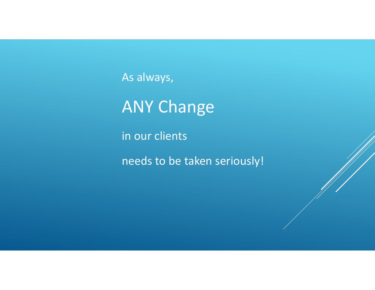As always, ANY Change

in our clients needs to be taken seriously!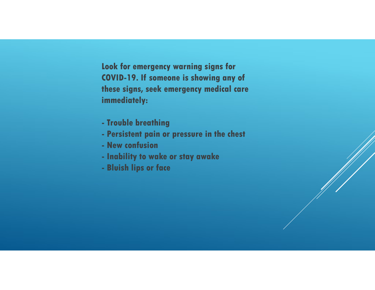Look for emergency warning signs for COVID-19. If someone is showing any of these signs, seek emergency medical care immediately: Look for emergency warning signs for<br>COVID-19. If someone is showing any of<br>these signs, seek emergency medical care<br>immediately:<br>- Trouble breathing<br>- Persistent pain or pressure in the chest<br>- New confusion Look for emergency warning signs for<br>COVID-19. If someone is showing any of<br>these signs, seek emergency medical care<br>immediately:<br>- Trouble breathing<br>- Persistent pain or pressure in the chest<br>- New confusion<br>- Inability t Look for emergency warning signs for<br>COVID-19. If someone is showing any of<br>these signs, seek emergency medical care<br>immediately:<br>- Trouble breathing<br>- Persistent pain or pressure in the chest<br>- New confusion<br>- Inability t Look for emergency warning signs for<br>COVID-19. If someone is showing any of<br>these signs, seek emergency medical care<br>immediately:<br>- Trouble breathing<br>- Persistent pain or pressure in the chest<br>- New confusion<br>- Inability t Look for emergency warning signs for<br>COVID-19. If someone is showing any of<br>these signs, seek emergency medical care<br>immediately:<br>- Trouble breathing<br>- Persistent pain or pressure in the chest<br>- New confusion<br>- Inability t

- 
- 
- 
- 
-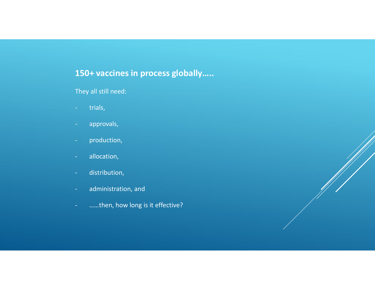# 150+ vaccines in process globally….. **150+ vaccines in process globally.....**<br>They all still need:<br>- trials,<br>- approvals,<br>- production, 150+ vaccines in process globally.....<br>They all still need:<br>- trials,<br>- approvals,<br>- production,<br>- allocation, **150+ vaccines in process globally.....**<br>They all still need:<br>- trials,<br>- approvals,<br>- production,<br>- allocation,<br>- distribution, **150+ vaccines in process globally.....**<br>They all still need:<br>- trials,<br>- approvals,<br>- production,<br>- allocation,<br>- distribution,<br>- administration, and **150+ vaccines in process globally.....**<br>They all still need:<br>- trials,<br>- approvals,<br>- production,<br>allocation,<br>- distribution,<br>- distribution,<br>- administration, and<br>- ......then, how long is it effective? **150+ vaccines in process globally.....**<br>They all still need:<br>- trials,<br>- approvals,<br>- production,<br>allocation,<br>- alstribution,<br>- administration, and<br>- ......then, how long is it effective?

They all still need:

- 
- 
- 
- 
- 
- 
- They all still need:<br>
 urials,<br>
 approvals,<br>
 production,<br>
 allocation,<br>
 distribution,<br>
 administration, and<br>
 ......then, how long is it effective?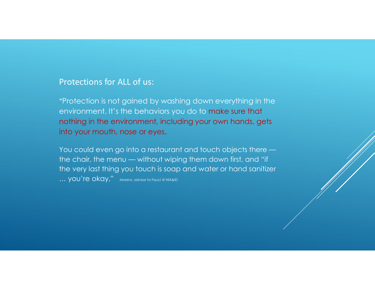#### Protections for ALL of us:

"Protection is not gained by washing down everything in the environment. It's the behaviors you do to make sure that nothing in the environment, including your own hands, gets into your mouth, nose or eyes. Protections for ALL of us:<br>"Protection is not gained by washing down everything in the<br>environment. It's the behaviors you do to **make sure that**<br>nothing in the environment, including your own hands, gets<br>into your mouth,

You could even go into a restaurant and touch objects there  $$ the very last thing you touch is soap and water or hand sanitizer ... you're okay," Morens, advisor to Fauci @ NIA&ID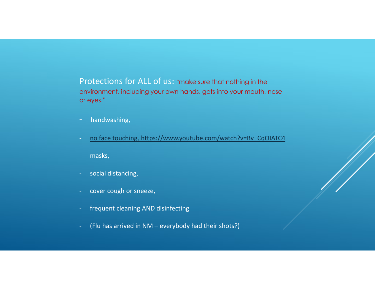Protections for ALL of us: "make sure that nothing in the environment, including your own hands, gets into your mouth, nose or eyes." Protections for ALL of us: "make sure that nothin<br>environment, including your own hands, gets into your<br>or eyes."<br>- handwashing,<br><u>- no face touching, https://www.youtube.com/watch?v=</u><br>- masks,<br>- social distancing,<br>- cover Protections for ALL of us: "make sure that nothin<br>environment, including your own hands, gets into your<br>or eyes."<br>- handwashing,<br>- <u>no face touching, https://www.youtube.com/watch?v=</u><br>masks,<br>- social distancing,<br>- cover co Protections for ALL of us: "make sure that nothin<br>
environment, including your own hands, gets into your<br>
or eyes."<br>
- handwashing,<br>
<u>- no face touching, https://www.youtube.com/watch?v=</u><br>
- masks,<br>
- social distancing,<br>
environment, including your own hands, gets into your mou<br>or eyes."<br>- handwashing,<br>- <u>no face touching, https://www.youtube.com/watch?v=Bv\_c</u><br>- masks,<br>- social distancing,<br>- cover cough or sneeze,<br>- frequent cleaning AND d

- 
- handwashing,<br>no face touching, https://www.youtube.com/watch?v=Bv\_CqOIATC4 - handwashing,<br>- <u>no face touching, https://www.youtube.com/watch?v=Bv\_CqOIATC4</u><br>- masks,<br>- social distancing,<br>- cover cough or sneeze,<br>- frequent cleaning AND disinfecting<br>- (Flu has arrived in NM – everybody had their sh
- 
- 
- 
- 
-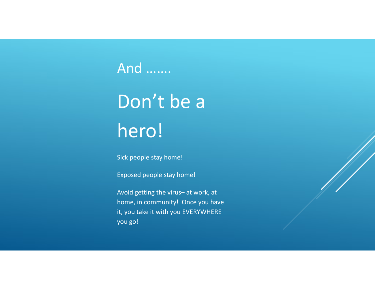And …….

# Don't be a hero! Don't be a<br>hero!<br>Sick people stay home!<br>Exposed people stay home!<br>Avoid getting the virus– at work, at<br>home, in community! Once you have<br>it, you take it with you EVERYWHERE<br>you go!

Sick people stay home!

Exposed people stay home!

home, in community! Once you have it, you take it with you EVERYWHERE you go!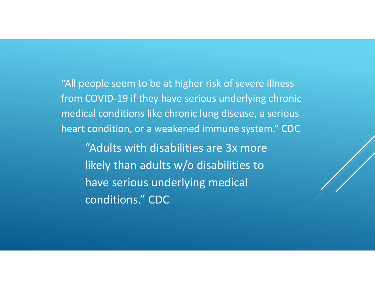"All people seem to be at higher risk of severe illness from COVID-19 if they have serious underlying chronic medical conditions like chronic lung disease, a serious heart condition, or a weakened immune system." CDC

"Adults with disabilities are 3x more likely than adults w/o disabilities to have serious underlying medical conditions." CDC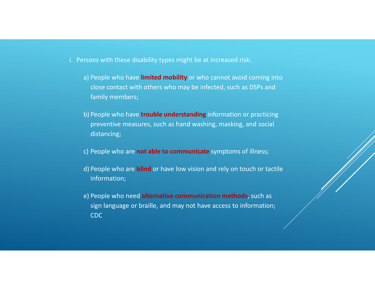- 
- i. Persons with these disability types might be at increased risk:<br>a) People who have **limited mobility** or who cannot avoid coming into<br>close contact with others who may be infected, such as DSPs and From with these disability types might be at increased risk:<br>
a) People who have **limited mobility** or who cannot avoid coming into<br>
close contact with others who may be infected, such as DSPs and<br>
family members;<br>
b) Bead close contact with others who may be infected, such as DSPs and family members; b) People who have **limited mobility** or who cannot avoid coming into<br>
a) People who have **limited mobility** or who cannot avoid coming into<br>
close contact with others who may be infected, such as DSPs and<br>
family members; rsons with these disability types might be at increased risk:<br>a) People who have **limited mobility** or who cannot avoid coming into<br>close contact with others who may be infected, such as DSPs and<br>family members;<br>b) People rsons with these disability types might be at increased risk:<br>
a) People who have **limited mobility** or who cannot avoid coming into<br>
close contact with others who may be infected, such as DSPs and<br>
family members;<br>
b) Peo
	- preventive measures, such as hand washing, masking, and social distancing; e) People who neve **imied moonly** or who cannot avoid coming into<br>close contact with others who may be infected, such as DSPs and<br>family members;<br>b) People who have **trouble understanding** information or practicing<br>prevent
	-
	- information;
	- sign language or braille, and may not have access to information; CDC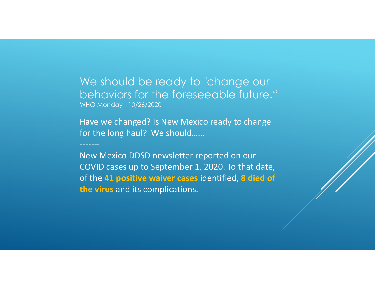We should be ready to "change our behaviors for the foreseeable future." We should be ready to "change our<br>behaviors for the foreseeable future."<br><sup>WHO Monday - 10/26/2020</sup><br>Have we changed? Is New Mexico ready to change<br>for the long haul? We should......

Have we changed? Is New Mexico ready to change for the long haul? We should……

New Mexico DDSD newsletter reported on our COVID cases up to September 1, 2020. To that date, of the 41 positive waiver cases identified, 8 died of the virus and its complications.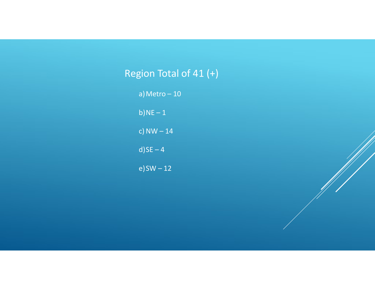#### Region Total of 41 (+)

 $\begin{align*} \text{a) Metro} = 1 \end{align*}$ <br>  $\begin{align*} \text{b)NE} = 1 \end{align*}$ sion Total of 41 (+)<br>
a)Metro – 10<br>
b)NE – 1<br>
c) NW – 14<br>
d)CE – 4 gion Total of 41 (+)<br>
a) Metro – 10<br>
b) NE – 1<br>
c) NW – 14<br>
d) SE – 4<br>
a) CM – 42 gion Total of 41 (+)<br>
a) Metro – 10<br>
b) NE – 1<br>
c) NW – 14<br>
d) SE – 4<br>
e) SW – 12 gion Total of 41 (+)<br>
a) Metro – 10<br>
b) NE – 1<br>
c) NW – 14<br>
d) SE – 4<br>
e) SW – 12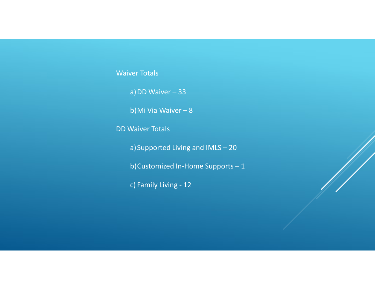Waiver Totals

ver Totals<br>a) DD Waiver – 33<br>b) Mi Via Waiver – 8<br>Maiver Tatala er Totals<br>a) DD Waiver – 33<br>b)Mi Via Waiver – 8<br>Waiver Totals

DD Waiver Totals

er Totals<br>a) DD Waiver – 33<br>b)Mi Via Waiver – 8<br>Waiver Totals<br>a) Supported Living and IMLS – 20<br>b) Customized In-Home Supports – 1 ver Totals<br>a) DD Waiver – 33<br>b) Mi Via Waiver – 8<br>Vaiver Totals<br>a) Supported Living and IMLS – 20<br>b) Customized In-Home Supports – 1<br>c) Family Living - 12 ver Totals<br>a) DD Waiver – 33<br>b) Mi Via Waiver – 8<br>Waiver Totals<br>a) Supported Living and IMLS – 20<br>b) Customized In-Home Supports – 1<br>c) Family Living - 12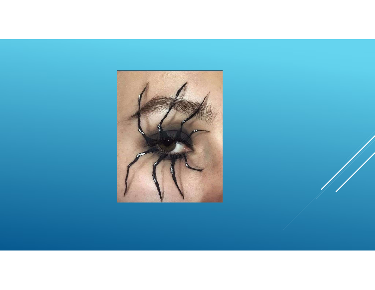

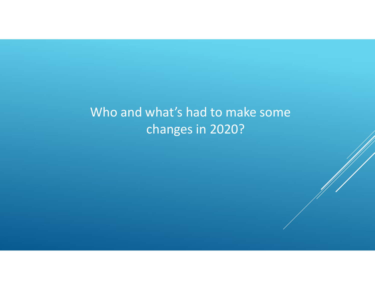### Who and what's had to make some changes in 2020?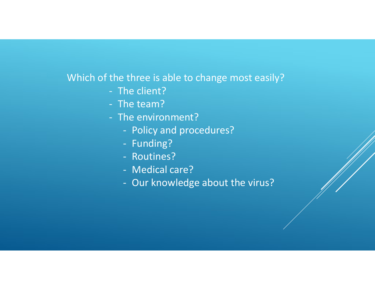# Which of the three is able to change most easily? - The client? the three is able to change most easi<br>- The client?<br>- The team?<br>- The environment?<br>- Policy and procedures? the three is able to change most easi<br>- The client?<br>- The team?<br>- The environment?<br>- Policy and procedures?<br>- Funding? - Where is able to change most easily?<br>
The client?<br>
he client?<br>
he environment?<br>
- Policy and procedures?<br>
- Funding?<br>
- Routines? Figure 1<br>
The client?<br>
the client?<br>
the team?<br>
the team?<br>
the environment?<br>
- Policy and procedures?<br>
- Funding?<br>
- Routines?<br>
- Medical care?

- 
- 
- -
	-
	-
	-
- Firmal:<br>
A three is able to change most easily?<br>
he client?<br>
he environment?<br>
 Policy and procedures?<br>
 Funding?<br>
 Routines?<br>
 Medical care?<br>
 Our knowledge about the virus? Firmary three is able to change most easily?<br>
the client?<br>
the team?<br>
the environment?<br>
- Policy and procedures?<br>
- Funding?<br>
- Medical care?<br>
- Our knowledge about the virus? - three is able to change most easily?<br>
he client?<br>
he team?<br>
he environment?<br>
- Policy and procedures?<br>
- Funding?<br>
- Routines?<br>
- Medical care?<br>
- Our knowledge about the virus?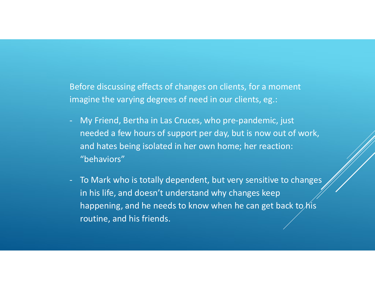Before discussing effects of changes on clients, for a moment imagine the varying degrees of need in our clients, eg.:

- Before discussing effects of changes on clients, for a moment<br>imagine the varying degrees of need in our clients, eg.:<br>- My Friend, Bertha in Las Cruces, who pre-pandemic, just<br>needed a few hours of support per day, but is needed a few hours of support per day, but is now out of work, and hates being isolated in her own home; her reaction: "behaviors" Before discussing effects of changes on clients, for a moment<br>
imagine the varying degrees of need in our clients, eg.:<br>
- My Friend, Bertha in Las Cruces, who pre-pandemic, just<br>
needed a few hours of support per day, but
- in his life, and doesn't understand why changes keep happening, and he needs to know when he can get back to his routine, and his friends.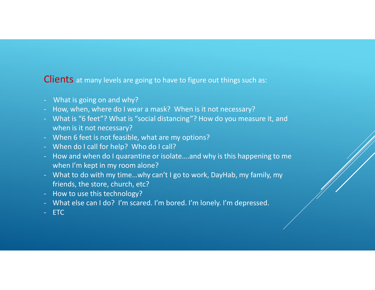**Clients** at many levels are going to have to figure out things such as:

- 
- 
- **Clients** at many levels are going to have to figure<br>- What is going on and why?<br>- How, when, where do I wear a mask? When is it<br>- What is "6 feet"? What is "social distancing"? How<br>when is it not necessary? **Clients** at many levels are going to have to figure out things such as:<br>- What is going on and why?<br>- How, when, where do I wear a mask? When is it not necessary?<br>- What is "6 feet"? What is "social distancing"? How do yo **Clients** at many levels are going to have to figure out things such as:<br>
- What is going on and why?<br>
- How, when, where do I wear a mask? When is it not necessary?<br>
- What is "6 feet"? What is "social distancing"? How do when is it not necessary? **Clients** at many levels are going to have to figure out things such as:<br>
- What is going on and why?<br>
- How, when, where do I wear a mask? When is it not necessary?<br>
- What is "6 feet"? What is "social distancing"? How do **Clients** at many levels are going to have to figure out things s<br>
- What is going on and why?<br>
- How, when, where do I wear a mask? When is it not necessa<br>
- What is "6 feet"? What is "social distancing"? How do you m<br>
wh **Clients** at many levels are going to have to figure out things such as:<br>
- What is going on and why?<br>
- How, when, where do I wear a mask? When is it not necessary?<br>
- What is "6 feet"? What is "social distancing"? How do **Clients** at many levels are going to have to figure out things such as:<br>
- What is going on and why?<br>
- How, when, where do I wear a mask? When is it not necessary?<br>
- What is "6 feet"? What is "social distancing"? How do - What is going on and why?<br>
- How, when, where do I wear a mask? When is it not necessary?<br>
- What is "6 feet"? What is "social distancing"? How do you measure it, and<br>
when is it not necessary?<br>
- When 6 feet is not feas
- 
- 
- when I'm kept in my room alone?
- friends, the store, church, etc? **Clients** at many levels are going to have to figure c<br>
- What is going on and why?<br>
- How, when, where do I wear a mask? When is it r<br>
- What is "6 feet"? What is "social distancing"? Hov<br>
when is it not necessary?<br>
- Whe - What is going on and why?<br>
- How, when, where do I wear a mask? When is it<br>
- What is "6 feet"? What is "social distancing"? Ho<br>
when is it not necessary?<br>
- When 6 feet is not feasible, what are my options?<br>
- When do I
- 
- 
-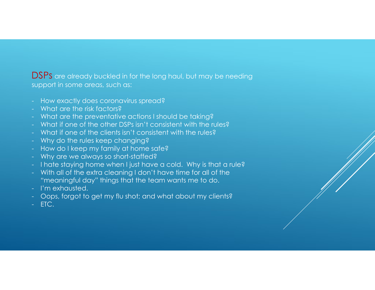DSPS are already buckled in for the long haul, but may be needing support in some areas, such as: 1989<br>- May be a proposed in the long haul, but may be needing<br>- How exactly does coronavirus spread?<br>- What are the risk factors?<br>- What is one of the other DSPs isn't consistent with the rules?<br>- What if one of the other **DSPs** are already buckled in for the long haul, but<br>support in some areas, such as:<br>- What are the risk factors?<br>- What are the risk factors?<br>- What if one of the other DSPs isn't consistent with<br>- What if one of the clie **DSPs** are already buckled in for the long haul, but may be needing<br>support in some areas, such as:<br>- How exactly does coronavirus spread?<br>- What are the preventative actions I should be taking?<br>- What are the preventative **DSPs** are already buckled in for the long haul, but may be needing<br>support in some areas, such as:<br>- What are the risk factors?<br>- What are the risk factors?<br>- What if one of the other DSPs isn't consistent with the rules? **DSPS** are already buckled in for the long haul, but may be needing<br>support in some areas, such as:<br>- What are the risk factors?<br>- What are the preventative actions I should be taking?<br>- What if one of the other DSPs isn't **DSPs** are already buckled in for the long haul, but may be neasypport in some areas, such as:<br>- How exactly does coronavirus spread?<br>- What are the risk factors?<br>- What are the risk factors?<br>- What if one of the other DSP **DSPs** are already buckled in for the long haul, but may be needing<br>support in some areas, such as:<br>- How exactly does coronavirus spread?<br>- What are the risk factors?<br>- What are the preventative actions I should be taking **DSPs** are already buckled in for the long haul, but may be needisupport in some areas, such as:<br>- How exactly does coronavirus spread?<br>- What are the risk factors?<br>- What are the pieventative actions I should be taking?<br>-**DSPS** are already buckled in for the long haul, but may be needing<br>support in some areas, such as:<br>- What are the isk factors?<br>- What are the isk factors?<br>- What are the preventative actions I should be taking?<br>- What if **DSPs** are already buckled in for the long haul, but may be needing<br>support in some areas, such as:<br>- How exactly does coronavirus spread?<br>- What are the risk factors?<br>- What if one of the other DSPs isn't consistent with **DSPs** are already buckled in for the long haul, but<br>support in some areas, such as:<br>- How exactly does coronavirus spread?<br>- What are the risk factors?<br>- What if one of the other DSPs isn't consistent with<br>- What if one o **DSPs** are already buckled in for the long haul, but may be needing<br>support in some areas, such as:<br>- How exactly does coronavirus spread?<br>- What are the risk factors?<br>- What are the preventative actions I should be taking

- 
- 
- 
- 
- 
- 
- 
- 
- 
- "meaningful day" things that the team wants me to do. support in some areas, such as:<br>
- How exactly does coronavirus spread?<br>
- What are the risk factors?<br>
- What if one of the other DSPs isn't consistent with<br>
- What if one of the other DSPs isn't consistent with<br>
- What if
- 
- 
-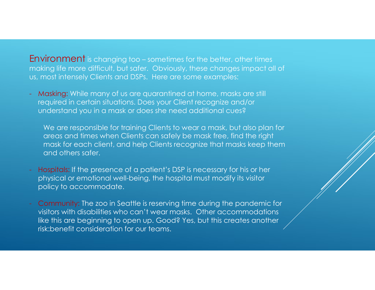**Environment** is changing too – sometimes for the better, other times<br>making life more difficult, but safer. Obviously, these changes impact all of<br>us, most intensely Clients and DSPs. Here are some examples: making life more difficult, but safer. Obviously, these changes impact all of us, most intensely Clients and DSPs. Here are some examples: Environment is changing too – sometimes for the better, other times<br>making life more difficult, but safer. Obviously, these changes impact all of<br>us, most intensely Clients and DSPs. Here are some examples:<br>- Masking: Whil

required in certain situations. Does your Client recognize and/or understand you in a mask or does she need additional cues?

We are responsible for training Clients to wear a mask, but also plan for areas and times when Clients can safely be mask free, find the right mask for each client, and help Clients recognize that masks keep them and others safer. **Environment** is changing too – sometimes for the better, other times<br>making life more difficult, but safer. Obviously, these changes impact all of<br>us, most intensely Clients and DSPs. Here are some examples:<br>- **Masking:**

- physical or emotional well-being, the hospital must modify its visitor policy to accommodate.
- Masking: While many of us are quarantined at home, masks are still<br>required in certain situations. Does your Client recognize and/or<br>understand you in a mask or does she need additional cues?<br>We are responsible for train visitors with disabilities who can't wear masks. Other accommodations like this are beginning to open up. Good? Yes, but this creates another risk:benefit consideration for our teams.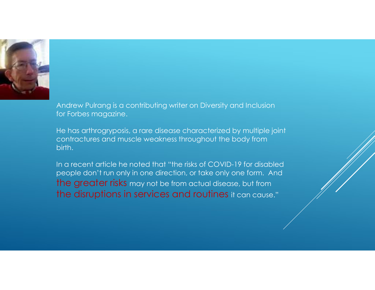

Andrew Pulrang is a contributing writer on Diversity and Inclusion<br>for Forbes magazine.<br>He has arthrogryposis, a rare disease characterized by multiple joint for Forbes magazine.

He has arthrogryposis, a rare disease characterized by multiple joint contractures and muscle weakness throughout the body from birth.

In a recent article he noted that "the risks of COVID-19 for disabled people don't run only in one direction, or take only one form. And the greater risks may not be from actual disease, but from the disruptions in services and routines it can cause."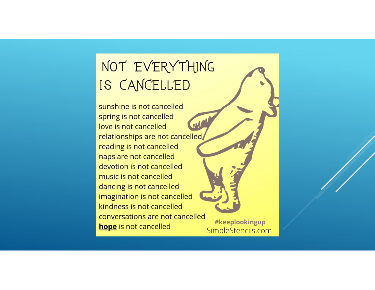## NOT EVERYTHING IS CANCELLED

sunshine is not cancelled spring is not cancelled love is not cancelled relationships are not cancelled reading is not cancelled naps are not cancelled devotion is not cancelled music is not cancelled dancing is not cancelled imagination is not cancelled kindness is not cancelled conversations are not cancelled hope is not cancelled

#keeplookingup SimpleStencils.com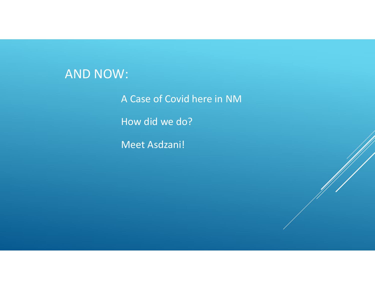#### AND NOW:

A Case of Covid here in NM

How did we do?

Meet Asdzani!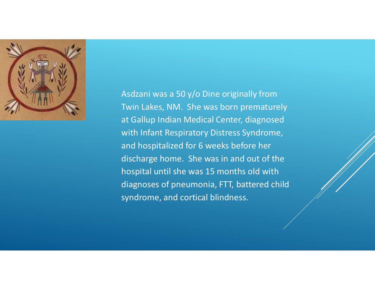

Asdzani was a 50 y/o Dine originally from Twin Lakes, NM. She was born prematurely at Gallup Indian Medical Center, diagnosed with Infant Respiratory Distress Syndrome, and hospitalized for 6 weeks before her discharge home. She was in and out of the hospital until she was 15 months old with diagnoses of pneumonia, FTT, battered child syndrome, and cortical blindness.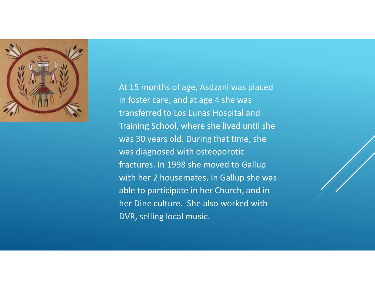

At 15 months of age, Asdzani was placed in foster care, and at age 4 she was transferred to Los Lunas Hospital and Training School, where she lived until she was 30 years old. During that time, she was diagnosed with osteoporotic fractures. In 1998 she moved to Gallup with her 2 housemates. In Gallup she was able to participate in her Church, and in her Dine culture. She also worked with DVR, selling local music.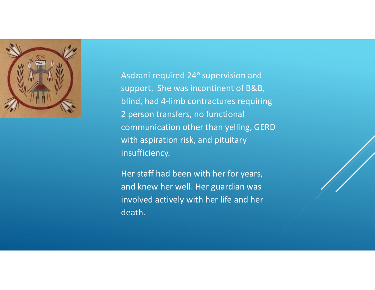

Asdzani required 24° supervision and support. She was incontinent of B&B, blind, had 4-limb contractures requiring 2 person transfers, no functional communication other than yelling, GERD with aspiration risk, and pituitary insufficiency.

Her staff had been with her for years, and knew her well. Her guardian was involved actively with her life and her death.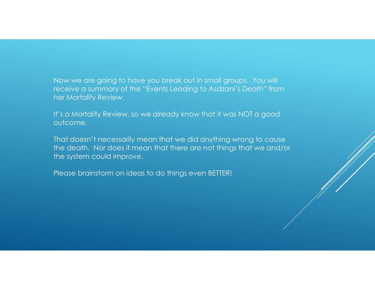Now we are going to have you break out in small groups. You will receive a summary of the "Events Leading to Asdzani's Death" from her Mortality Review.

It's a Mortality Review, so we already know that it was NOT a good outcome.

That doesn't necessarily mean that we did anything wrong to cause the death. Nor does it mean that there are not things that we and/or the system could improve.

Please brainstorm on ideas to do things even BETTER!